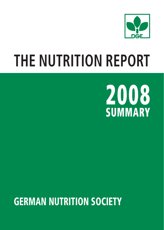

# **THE NUTRITION REPORT**



# **GERMAN NUTRITION SOCIETY**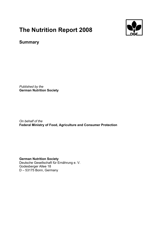# **The Nutrition Report 2008**



# **Summary**

*Published by the*  **German Nutrition Society** 

*On behalf of the*  **Federal Ministry of Food, Agriculture and Consumer Protection** 

**German Nutrition Society**  Deutsche Gesellschaft für Ernährung e. V. Godesberger Allee 18 D – 53175 Bonn, Germany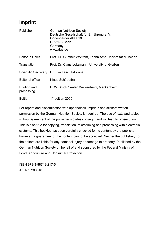# **Imprint**

| Publisher                  | <b>German Nutrition Society</b><br>Deutsche Gesellschaft für Ernährung e. V.<br>Godesberger Allee 18<br>D-53175 Bonn<br>Germany<br>www.dge.de |
|----------------------------|-----------------------------------------------------------------------------------------------------------------------------------------------|
| Editor in Chief            | Prof. Dr. Günther Wolfram, Technische Universität München                                                                                     |
| Translation                | Prof. Dr. Claus Leitzmann, University of Gießen                                                                                               |
|                            | Scientific Secretary Dr. Eva Leschik-Bonnet                                                                                                   |
| Editorial office           | Klaus Schäbethal                                                                                                                              |
| Printing and<br>processing | DCM Druck Center Meckenheim, Meckenheim                                                                                                       |
| Edition                    | 1 <sup>st</sup> edition 2009                                                                                                                  |

For reprint and dissemination with appendices, imprints and stickers written permission by the German Nutrition Society is required. The use of texts and tables without agreement of the publisher violates copyright and will lead to prosecution. This is also true for copying, translation, microfilming and processing with electronic systems. This booklet has been carefully checked for its content by the publisher; however, a guarantee for the content cannot be accepted. Neither the publisher, nor the editors are liable for any personal injury or damage to property. Published by the German Nutrition Society on behalf of and sponsored by the Federal Ministry of Food, Agriculture and Consumer Protection.

ISBN 978-3-88749-217-5 Art. No. 208510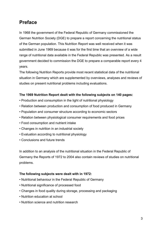# **Preface**

In 1968 the government of the Federal Republic of Germany commissioned the German Nutrition Society (DGE) to prepare a report concerning the nutritional status of the German population. This Nutrition Report was well received when it was submitted in June 1969 because it was for the first time that an overview of a wide range of nutritional data available in the Federal Republic was presented. As a result government decided to commission the DGE to prepare a comparable report every 4 years.

The following Nutrition Reports provide most recent statistical data of the nutritional situation in Germany which are supplemented by overviews, analyses and reviews of studies on present nutritional problems including evaluations.

# **The 1969 Nutrition Report dealt with the following subjects on 140 pages:**

- Production and consumption in the light of nutritional physiology
- Relation between production and consumption of food produced in Germany
- Population and consumer structure according to economic sectors
- Relation between physiological consumer requirements and food prices
- Food consumption and nutrient intake
- Changes in nutrition in an industrial society
- Evaluation according to nutritional physiology
- Conclusions and future trends

In addition to an analysis of the nutritional situation in the Federal Republic of Germany the Reports of 1972 to 2004 also contain reviews of studies on nutritional problems.

#### **The following subjects were dealt with in 1972:**

- Nutritional behaviour in the Federal Republic of Germany
- Nutritional significance of processed food
- Changes in food quality during storage, processing and packaging
- Nutrition education at school
- Nutrition science and nutrition research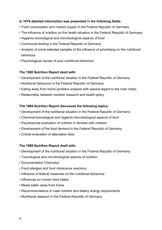#### **In 1976 detailed information was presented in the following fields:**

- Food consumption and nutrient supply in the Federal Republic of Germany
- The influence of nutrition on the health situation in the Federal Republic of Germany
- Hygienic-toxicological and microbiological aspects of food
- Communal feeding in the Federal Republic of Germany
- Analysis of some selected samples of the influence of advertising on the nutritional behaviour
- Psychological causes of poor nutritional behaviour

# **The 1980 Nutrition Report dealt with:**

- Development of the nutritional situation in the Federal Republic of Germany
- Nutritional behaviour in the Federal Republic of Germany
- Eating away from home (problem analysis with special regard to the main meal)
- Relationship between nutrition research and health policy

# **The 1984 Nutrition Report discussed the following topics:**

- Development of the nutritional situation in the Federal Republic of Germany
- Chemical-toxicological and hygienic-microbiological aspects of food
- Psychosocial evaluation of nutrition in families with children
- Development of the food demand in the Federal Republic of Germany
- Critical evaluation of alternative diets

# **The 1988 Nutrition Report dealt with:**

- Development of the nutritional situation in the Federal Republic of Germany
- Toxicological and microbiological aspects of nutrition
- Documentation Chernobyl
- Food allergies and food intolerance reactions
- Influence of federal measures on the nutritional behaviour
- Influences on human food intake
- Meals eaten away from home
- Recommendations to meet nutrient and dietary energy requirements
- Nutritional research in the Federal Republic of Germany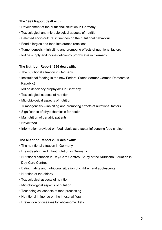# **The 1992 Report dealt with:**

- Development of the nutritional situation in Germany
- Toxicological and microbiological aspects of nutrition
- Selected socio-cultural influences on the nutritional behaviour
- Food allergies and food intolerance reactions
- Tumorigenesis inhibiting and promoting effects of nutritional factors
- Iodine supply and iodine deficiency prophylaxis in Germany

#### **The Nutrition Report 1996 dealt with:**

- The nutritional situation in Germany
- Institutional feeding in the new Federal States (former German Democratic Republic)
- Iodine deficiency prophylaxis in Germany
- Toxicological aspects of nutrition
- Microbiological aspects of nutrition
- Tumorigenesis inhibiting and promoting effects of nutritional factors
- Significance of phytochemicals for health
- Malnutrition of geriatric patients
- Novel food
- Information provided on food labels as a factor influencing food choice

#### **The Nutrition Report 2000 dealt with:**

- The nutritional situation in Germany
- Breastfeeding and infant nutrition in Germany
- Nutritional situation in Day-Care Centres: Study of the Nutritional Situation in Day-Care Centres
- Eating habits and nutritional situation of children and adolescents
- Nutrition of the elderly
- Toxicological aspects of nutrition
- Microbiological aspects of nutrition
- Technological aspects of food processing
- Nutritional influence on the intestinal flora
- Prevention of diseases by wholesome diets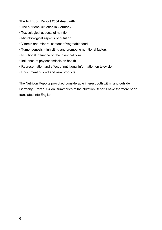# **The Nutrition Report 2004 dealt with:**

- The nutrional situation in Germany
- Toxicological aspects of nutrition
- Microbiological aspects of nutrition
- Vitamin and mineral content of vegetable food
- Tumorigenesis inhibiting and promoting nutritional factors
- Nutritional influence on the intestinal flora
- Influence of phytochemicals on health
- Representation and effect of nutritional information on television
- Enrichment of food and new products

The Nutrition Reports provoked considerable interest both within and outside Germany. From 1984 on, summaries of the Nutrition Reports have therefore been translated into English.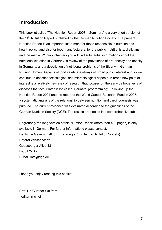# **Introduction**

This booklet called 'The Nutrition Report 2008 – Summary' is a very short version of the 11<sup>th</sup> Nutrition Report published by the German Nutrition Society. The present Nutrition Report is an important instrument for those responsible in nutrition and health policy, and also for food manufacturers, for the public, nutritionists, dieticians and the media. Within 7 chapters you will find substantial informations about the nutritional situation in Germany, a review of the prevalence of pre-obesity and obesity in Germany, and a description of nutritional problems of the Elderly in German Nursing Homes. Aspects of food safety are always of broad public interest and so we continue to describe toxicological and microbiological aspects. A brand new point of interest is a relatively new area of research that focuses on the early pathogenesis of diseases that occur later in life called 'Perinatal programming'. Following up the Nutrition Report 2004 and the report of the World Cancer Research Fund in 2007, a systematic analysis of the relationship between nutrition and carcinogenesis was pursued. The current evidence was evaluated according to the guidelines of the German Nutrition Society (DGE). The results are pooled in a comprehensive table.

Regrattably the long version of this Nutrition Report (more than 400 pages) is only available in German. For further informations please contact: Deutsche Gesellschaft für Ernährung e. V. (German Nutrition Society) Referat Wissenschaft Godesberger Allee 18 D-53175 Bonn E-Mail: info@dge.de

I hope you enjoy reading this booklet.

Prof. Dr. Günther Wolfram

- editor-in-chief -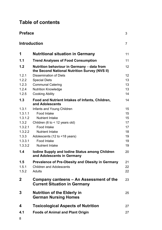# **Table of contents**

| <b>Preface</b><br>3 |                                                                                             |    |
|---------------------|---------------------------------------------------------------------------------------------|----|
|                     | <b>Introduction</b>                                                                         | 7  |
| 1                   | <b>Nutritional situation in Germany</b>                                                     | 11 |
| 1.1                 | <b>Trend Analyses of Food Consumption</b>                                                   | 11 |
| 1.2                 | Nutrition behaviour in Germany - data from<br>the Second National Nutrition Survey (NVS II) | 12 |
| 1.2.1               | Dissemination of Diets                                                                      | 12 |
| 1.2.2               | <b>Special Diets</b>                                                                        | 13 |
| 1.2.3               | <b>Communal Catering</b>                                                                    | 13 |
| 1.2.4               | <b>Nutrition Knowledge</b>                                                                  | 13 |
| 1.2.5               | <b>Cooking Ability</b>                                                                      | 14 |
| 1.3                 | Food and Nutrient Intakes of Infants, Children,<br>and Adolescents                          | 14 |
| 1.3.1               | Infants and Young Children                                                                  | 15 |
| 1.3.1.1             | Food Intake                                                                                 | 15 |
| 1.3.1.2             | <b>Nutrient Intake</b>                                                                      | 15 |
| 1.3.2               | Children (6 to < 12 years old)                                                              | 17 |
| 1.3.2.1             | Food Intake                                                                                 | 17 |
| 1.3.2.2             | Nutrient Intake                                                                             | 18 |
| 1.3.3               | Adolescents (12 to <18 years)                                                               | 19 |
| 1.3.3.1             | Food Intake                                                                                 | 19 |
| 1.3.3.2             | <b>Nutrient Intake</b>                                                                      | 19 |
| 1.4                 | lodine Supply and lodine Status among Children<br>and Adolescents in Germany                | 20 |
| 1.5                 | Prevalence of Pre-Obesity and Obesity in Germany                                            | 21 |
| 1.5.1               | <b>Children and Adolescents</b>                                                             | 22 |
| 1.5.2               | Adults                                                                                      | 22 |
| $\mathbf{2}$        | Company canteens - An Assessment of the<br><b>Current Situation in Germany</b>              | 23 |
| 3                   | <b>Nutrition of the Elderly in</b><br><b>German Nursing Homes</b>                           | 25 |
| 4                   | <b>Toxicological Aspects of Nutrition</b>                                                   | 27 |
| 4.1                 | <b>Foods of Animal and Plant Origin</b>                                                     | 27 |
| $\sim$              |                                                                                             |    |

8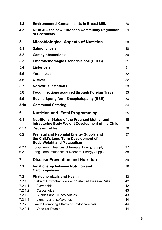| 4.2            | <b>Environmental Contaminants in Breast Milk</b>                                                                     | 28       |
|----------------|----------------------------------------------------------------------------------------------------------------------|----------|
| 4.3            | <b>REACH</b> – the new European Community Regulation<br>of Chemicals                                                 | 29       |
| 5              | <b>Microbiological Aspects of Nutrition</b>                                                                          | 30       |
| 5.1            | <b>Salmonellosis</b>                                                                                                 | 30       |
| 5.2            | <b>Campylobacteriosis</b>                                                                                            | 30       |
| 5.3            | Enterohemorhagic Eschericia coli (EHEC)                                                                              | 31       |
| 5.4            | Listeriosis                                                                                                          | 31       |
| 5.5            | Yersiniosis                                                                                                          | 32       |
| 5.6            | Q-fever                                                                                                              | 32       |
| 5.7            | <b>Norovirus Infections</b>                                                                                          | 33       |
| 5.8            | Food Infections acquired through Foreign Travel                                                                      | 33       |
| 5.9            | <b>Bovine Spongiform Encephalopathy (BSE)</b>                                                                        | 33       |
| 5.10           | <b>Communal Catering</b>                                                                                             | 34       |
|                |                                                                                                                      |          |
| 6              | <b>Nutrition and 'Fetal Programming'</b>                                                                             | 35       |
| 6.1            | Nutritional Status of the Pregnant Mother and<br>Intrauterine Body Weight Development of the Child                   | 35       |
| 6.1.1          | Diabetes mellitus                                                                                                    | 36       |
| 6.2            | Prenatal and Neonatal Energy Supply and<br>the Child's Long Term Development of<br><b>Body Weight and Metabolism</b> | 37       |
| 6.2.1          | Long-Term Influences of Prenatal Energy Supply                                                                       | 37       |
| 6.2.2          | Long-Term Influences of Neonatal Energy Supply                                                                       | 38       |
| 7              | <b>Disease Prevention and Nutrition</b>                                                                              | 39       |
| 7.1            | Relationship between Nutrition and<br>Carcinogenesis                                                                 | 39       |
| 7.2            | <b>Phytochemicals and Health</b>                                                                                     | 42       |
| 7.2.1          | Intake of Phytochemicals and Selected Disease Risks                                                                  | 42       |
| 7.2.1.1        | Flavonoids                                                                                                           | 42       |
| 7.2.1.2        | Carotenoids                                                                                                          | 43       |
| 7.2.1.3        | <b>Sulfides and Glucosinolates</b>                                                                                   | 43       |
| 7.2.1.4<br>722 | Lignans and Isoflavones<br>Health Promoting Effects of Phytochemicals                                                | 44<br>44 |
|                |                                                                                                                      |          |
| 7.2.2.1        | <b>Vascular Effects</b>                                                                                              | 44       |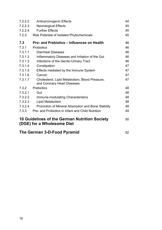| 7.2.2.2                                                                           | Anticarcinogenic Effects                                                      | 44 |
|-----------------------------------------------------------------------------------|-------------------------------------------------------------------------------|----|
| 7.2.2.3                                                                           | <b>Neurological Effects</b>                                                   | 45 |
| 7.2.2.4                                                                           | <b>Further Effects</b>                                                        | 45 |
| 7.2.3                                                                             | Risk Potential of Isolated Phytochemicals                                     | 45 |
| 7.3                                                                               | <b>Pro- and Prebiotics – Influences on Health</b>                             | 46 |
| 7.3.1                                                                             | Probiotics                                                                    | 46 |
| 7.3.1.1                                                                           | Diarrheal Diseases                                                            | 46 |
| 7.3.1.2                                                                           | Inflammatory Diseases and Irritation of the Gut                               | 46 |
| 7.3.1.3                                                                           | Infections of the Genito-Urinary Tract                                        | 46 |
| 7.3.1.4                                                                           | Constipation                                                                  | 47 |
| 7.3.1.5                                                                           | Effects mediated by the Immune System                                         | 47 |
| 7.3.1.6                                                                           | Cancer                                                                        | 47 |
| 7.3.1.7                                                                           | Cholesterol, Lipid Metabolism, Blood Pressure,<br>and Coronary Heart Diseases | 47 |
| 7.3.2                                                                             | Prebiotics                                                                    | 48 |
| 7.3.2.1                                                                           | Gut                                                                           | 48 |
| 7.3.2.2                                                                           | Immune-modulating Characteristics                                             | 48 |
| 7.3.2.3                                                                           | Lipid Metabolism                                                              | 48 |
| 7.3.2.4                                                                           | Promotion of Mineral Absorption and Bone Stability                            | 48 |
| 7.3.3                                                                             | Pre- and Probiotics in Infant and Child Nutrition                             | 49 |
| 10 Guidelines of the German Nutrition Society<br>50<br>(DGE) for a Wholesome Diet |                                                                               |    |
| The German 3-D-Food Pyramid                                                       |                                                                               |    |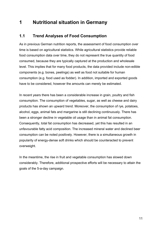# **1 Nutritional situation in Germany**

# **1.1 Trend Analyses of Food Consumption**

As in previous German nutrition reports, the assessment of food consumption over time is based on agricultural statistics. While agricultural statistics provide reliable food consumption data over time, they do not represent the true quantity of food consumed, because they are typically captured at the production and wholesale level. This implies that for many food products, the data provided include non-edible components (e.g. bones, peelings) as well as food not suitable for human consumption (e.g. food used as fodder). In addition, imported and exported goods have to be considered, however the amounts can merely be estimated.

In recent years there has been a considerable increase in grain, poultry and fish consumption. The consumption of vegetables, sugar, as well as cheese and dairy products has shown an upward trend. Moreover, the consumption of rye, potatoes, alcohol, eggs, animal fats and margarine is still declining continuously. There has been a stronger decline in vegetable oil usage than in animal fat consumption. Consequently, total fat consumption has decreased, yet this has resulted in an unfavourable fatty acid composition. The increased mineral water and declined beer consumption can be noted positively. However, there is a simultaneous growth in popularity of energy-dense soft drinks which should be counteracted to prevent overweight.

In the meantime, the rise in fruit and vegetable consumption has slowed down considerably. Therefore, additional prospective efforts will be necessary to attain the goals of the 5-a-day campaign.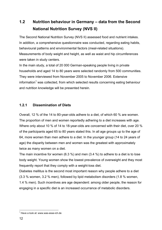# **1.2 Nutrition behaviour in Germany – data from the Second National Nutrition Survey (NVS II)**

The Second National Nutrition Survey (NVS II) assessed food and nutrient intakes. In addition, a comprehensive questionnaire was conducted, regarding eating habits, behavioural patterns and environmental factors (meal-related situations). Measurements of body weight and height, as well as waist and hip circumferences were taken in study centers.

In the main study, a total of 20 000 German-speaking people living in private households and aged 14 to 80 years were selected randomly from 500 communities. They were interviewed from November 2005 to November 2006. Extensive information<sup>1</sup> was collected, from which selected results concerning eating behaviour and nutrition knowledge will be presented herein.

# **1.2.1 Dissemination of Diets**

Overall, 12 % of the 14 to 80-year-olds adhere to a diet, of which 60 % are women. The proportion of men and women reportedly adhering to a diet increases with age. Where only about 10 % of 14 to 18-year-olds are concerned with their diet, over 20 % of the participants aged 65 to 80 years stated this. In all age groups up to the age of 64, more women than men adhere to a diet. In the younger group (14 to 24 years of age) the disparity between men and women was the greatest with approximately twice as many women on a diet.

The main incentive for women (6.3 %) and men (3.4 %) to adhere to a diet is to lose body weight. Young women show the lowest prevalence of overweight and they most frequently report that they comply with a weight-loss diet.

Diabetes mellitus is the second most important reason why people adhere to a diet (3.3 % women, 3.2 % men), followed by lipid metabolism disorders (1.8 % women, 1.4 % men). Such incentives are age dependent: among older people, the reason for engaging in a specific diet is an increased occurrance of metabolic disorders.

 1 Have a look at: www.was-esse-ich.de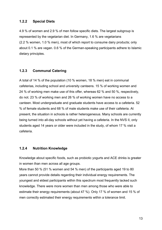# **1.2.2 Special Diets**

4.9 % of women and 2.9 % of men follow specific diets. The largest subgroup is represented by the vegetarian diet. In Germany, 1.6 % are vegetarians (2.2 % women, 1.0 % men), most of which report to consume dairy products; only about 0.1 % are vegan. 0.6 % of the German-speaking participants adhere to Islamic dietary principles.

#### **1.2.3 Communal Catering**

A total of 14 % of the population (10 % women, 18 % men) eat in communal cafeterias, including school and university canteens. 15 % of working women and 24 % of working men make use of this offer, whereas 62 % and 50 %, respectively, do not. 23 % of working men and 26 % of working women have no access to a canteen. Most undergraduate and graduate students have access to a cafeteria. 52 % of female students and 68 % of male students make use of their cafeteria. At present, the situation in schools is rather heterogeneous. Many schools are currently being turned into all-day schools without yet having a cafeteria. In the NVS II, only students aged 14 years or older were included in the study, of whom 17 % visit a cafeteria.

# **1.2.4 Nutrition Knowledge**

Knowledge about specific foods, such as probiotic yogurts and ACE drinks is greater in women than men across all age groups.

More than 50 % (51 % women and 54 % men) of the participants aged 19 to 80 years cannot provide details regarding their individual energy requirements. The youngest and eldest participants within this spectrum most frequently lacked such knowledge. There were more women than men among those who were able to estimate their energy requirements (about 47 %). Only 17 % of women and 15 % of men correctly estimated their energy requirements within a tolerance limit.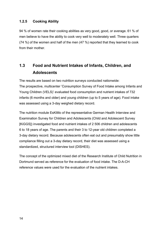# **1.2.5 Cooking Ability**

94 % of women rate their cooking abilities as very good, good, or average. 61 % of men believe to have the ability to cook very well to moderately well. Three quarters (74 %) of the women and half of the men (47 %) reported that they learned to cook from their mother.

# **1.3 Food and Nutrient Intakes of Infants, Children, and Adolescents**

The results are based on two nutrition surveys conducted nationwide: The prospective, multicenter 'Consumption Survey of Food Intake among Infants and Young Children (VELS)' evaluated food consumption and nutrient intakes of 732 infants (6 months and older) and young children (up to 5 years of age). Food intake was assessed using a 3-day weighed dietary record.

The nutrition module EsKiMo of the representative German Health Interview and Examination Survey for Children and Adolescents (Child and Adolescent Survey [KiGGS]) investigated food and nutrient intakes of 2 506 children and adolescents 6 to 18 years of age. The parents and their 3 to 12-year old children completed a 3-day dietary record. Because adolescents often eat out and presumably show little compliance filling out a 3-day dietary record, their diet was assessed using a standardized, structured interview tool (DISHES).

The concept of the optimized mixed diet of the Research Institute of Child Nutrition in Dortmund served as reference for the evaluation of food intake. The D-A-CH reference values were used for the evaluation of the nutrient intakes.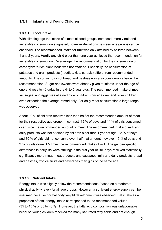# **1.3.1 Infants and Young Children**

#### **1.3.1.1 Food Intake**

With climbing age the intake of almost all food groups increased, merely fruit and vegetable consumption stagnated, however deviations between age groups can be observed. The recommended intake for fruit was only attained by children between 1 and 2 years. Hardly any child older than one year achieved the recommendation for vegetable consumption. On average, the recommendation for the consumption of carbohydrate-rich plant foods was not attained. Especially the consumption of potatoes and grain products (noodles, rice, cereals) differs from recommended amounts. The consumption of bread and pastries was also considerably below the recommendation. Sugar and sweets were already given to infants under the age of one and rose to 40 g/day in the 4- to 5-year olds. The recommended intake of meat, sausages, and eggs was attained by all children from age one, and older children even exceeded the average remarkably. For daily meat consumption a large range was observed.

About 19 % of children received less than half of the recommended amount of meat for their respective age group. In contrast, 19 % of boys and 14 % of girls consumed over twice the recommended amount of meat. The recommended intake of milk and dairy products was not attained by children older than 1 year of age. 22 % of boys and 30 % of girls did not consume even half that amount, however 15 % of boys and 9 % of girls drank 1.5 times the recommended intake of milk. The gender-specific differences in early life were striking: in the first year of life, boys received statistically significantly more meat, meat products and sausages, milk and dairy products, bread and pastries, tropical fruits and beverages than girls of the same age.

#### **1.3.1.2 Nutrient Intake**

Energy intake was slightly below the recommendations (based on a moderate physical activity level) for all age groups. However, a sufficient energy supply can be assumed because normal body weight development was observed. Fat intake as a proportion of total energy intake corresponded to the recommended values (35 to 45 % or 30 to 40 %). However, the fatty acid composition was unfavourable because young children received too many saturated fatty acids and not enough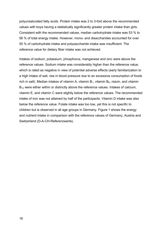polyunsaturated fatty acids. Protein intake was 2 to 3-fold above the recommended values with boys having a statistically significantly greater protein intake than girls. Consistent with the recommended values, median carbohydrate intake was 53 % to 56 % of total energy intake. However, mono- and disaccharides accounted for over 50 % of carbohydrate intake and polysaccharide intake was insufficient. The reference value for dietary fiber intake was not achieved.

Intakes of sodium, potassium, phosphorus, manganese and zinc were above the reference values. Sodium intake was considerably higher than the reference value, which is rated as negative in view of potential adverse effects (early familiarization to a high intake of salt, rise in blood pressure due to an excessive consumption of foods rich in salt). Median intakes of vitamin A, vitamin  $B_1$ , vitamin  $B_6$ , niacin, and vitamin B<sub>12</sub> were either within or distinctly above the reference values. Intakes of calcium, vitamin E, and vitamin C were slightly below the reference values. The recommended intake of iron was not attained by half of the participants. Vitamin D intake was also below the reference value. Folate intake was too low, yet this is not specific to children but is observed in all age groups in Germany. Figure 1 shows the energy and nutrient intake in comparison with the reference values of Germany, Austria and Switzerland (D-A-CH-Referenzwerte).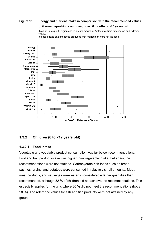# **Figure 1: Energy and nutrient intake in comparison with the recommended values of German-speaking countries; boys, 6 months to** *<* **5 years old**

 (Median, interquartil region and minimum-maximum (without outliers / mavericks and extreme values)



Iodine: iodized salt and foods produced with iodized salt were not included.

# **1.3.2 Children (6 to <12 years old)**

#### **1.3.2.1 Food Intake**

Vegetable and vegetable product consumption was far below recommendations. Fruit and fruit product intake was higher than vegetable intake, but again, the recommendations were not attained. Carbohydrate-rich foods such as bread, pastries, grains, and potatoes were consumed in relatively small amounts. Meat, meat products, and sausages were eaten in considerable larger quantities than recommended, although 32 % of children did not achieve the recommendations. This especially applies for the girls where 36 % did not meet the recommendations (boys 28 %). The reference values for fish and fish products were not attained by any group.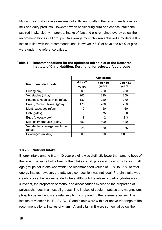Milk and yoghurt intake alone was not sufficient to attain the recommendations for milk and dairy products. However, when considering curd and cheese intake the aspired intake clearly improved. Intake of fats and oils remained overtly below the recommendations in all groups. On average most children achieved a moderate fluid intake in line with the recommendations. However, 48 % of boys and 59 % of girls were under the reference values.

|                                             | Age group           |                   |                    |
|---------------------------------------------|---------------------|-------------------|--------------------|
| <b>Recommended foods</b>                    | 4 to $<$ 7<br>vears | 7 to <10<br>years | 10 to <13<br>vears |
| Fruit (g/day)                               | 200                 | 220               | 250                |
| Vegetables (g/day)                          | 200                 | 220               | 250                |
| Potatoes, Noodles, Rice (q/day)             | 180                 | 220               | 270                |
| Bread, Cereal (flakes) (g/day)              | 170                 | 200               | 250                |
| Meat, sausages (g/day)                      | 40                  | 50                | 60                 |
| Fish (g/day)                                | 50                  | 75                | 90                 |
| Eggs (pieces/week)                          | 2                   | $\overline{2}$    | $2 - 3$            |
| Milk, dairy products (g/day)                | 350                 | 400               | 420                |
| Vegetable oil, margarine, butter<br>(g/day) | 25                  | 30                | 35                 |
| Beverages (ml/day)                          | 800                 | 900               | 1 0 0 0            |

#### **Table 1: Recommendations for the optimized mixed diet of the Research Institute of Child Nutrition, Dortmund, for selected food groups**

#### **1.3.2.2 Nutrient Intake**

Energy intake among 6 to < 10 year old girls was distinctly lower than among boys of that age. The same holds true for the intakes of fat, protein and carbohydrates. In all age groups, fat intake was within the recommended values of 30 % to 35 % of total energy intake; however, the fatty acid composition was not ideal. Protein intake was clearly above the recommended intake. Although the intake of carbohydrates was sufficient, the proportion of mono- and disaccharides exceeded the proportion of polysaccharides in almost all groups. The intakes of sodium, potassium, magnesium, phosphorus and zinc were relatively high compared to the reference values. The intakes of vitamins  $B_1$ ,  $B_2$ ,  $B_6$ ,  $B_{12}$ , C and niacin were within or above the range of the recommendations. Intakes of vitamin A and vitamin E were somewhat below the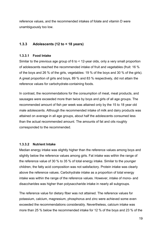reference values, and the recommended intakes of folate and vitamin D were unambiguously too low.

# **1.3.3 Adolescents (12 to < 18 years)**

#### **1.3.3.1 Food Intake**

Similar to the previous age group of 6 to < 12-year olds, only a very small proportion of adolescents reached the recommended intake of fruit and vegetables (fruit: 16 % of the boys and 26 % of the girls, vegetables: 19 % of the boys and 30 % of the girls). A great proportion of girls and boys, 89 % and 83 % respectively, did not attain the reference values for carbohydrate-containing foods.

In contrast, the recommendations for the consumption of meat, meat products, and sausages were exceeded more than twice by boys and girls of all age groups. The recommended amount of fish per week was attained only by the 15 to 18 year old male adolescents. Although the recommended intake of milk and dairy products was attained on average in all age groups, about half the adolescents consumed less than the actual recommended amount. The amounts of fat and oils roughly corresponded to the recommended.

#### **1.3.3.2 Nutrient Intake**

Median energy intake was slightly higher than the reference values among boys and slightly below the reference values among girls. Fat intake was within the range of the reference value of 30 % to 35 % of total energy intake. Similar to the younger children, the fatty acid composition was not satisfactory. Protein intake was clearly above the reference values. Carbohydrate intake as a proportion of total energy intake was within the range of the reference values. However, intake of mono- and disaccharides was higher than polysaccharide intake in nearly all subgroups.

The reference value for dietary fiber was not attained. The reference values for potassium, calcium, magnesium, phosphorus and zinc were achieved some even exceeded the recommendations considerably. Nevertheless, calcium intake was more than 25 % below the recommended intake for 12 % of the boys and 23 % of the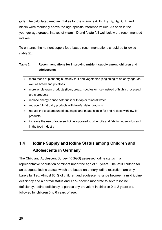girls. The calculated median intakes for the vitamins A,  $B_1$ ,  $B_2$ ,  $B_6$ ,  $B_{12}$ , C, E and niacin were markedly above the age-specific reference values. As seen in the younger age groups, intakes of vitamin D and folate fell well below the recommended intakes.

To enhance the nutrient supply food-based recommendations should be followed (table 2):

# **Table 2: Recommendations for improving nutrient supply among children and adolescents**

- more foods of plant origin, mainly fruit and vegetables (beginning at an early age) as well as bread and potatoes
- more whole grain products (flour, bread, noodles or rice) instead of highly processed grain products
- replace energy-dense soft drinks with tap or mineral water
- replace full-fat dairy products with low-fat dairy products
- reduce the total amount of sausages and meats high in fat and replace with low-fat products
- increase the use of rapeseed oil as opposed to other oils and fats in households and in the food industry

# **1.4 Iodine Supply and Iodine Status among Children and Adolescents in Germany**

The Child and Adolescent Survey (KiGGS) assessed iodine status in a representative population of minors under the age of 18 years. The WHO criteria for an adequate iodine status, which are based on urinary iodine excretion, are only barely fulfilled. Almost 80 % of children and adolescents range between a mild iodine deficiency and a normal status and 17 % show a moderate to severe iodine deficiency. Iodine deficiency is particularly prevalent in children 0 to 2 years old, followed by children 3 to 6 years of age.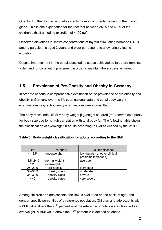One third of the children and adolescents have a minor enlargement of the thyroid gland. This is one explanation for the fact that between 35 % and 40 % of the children exhibit an iodine excretion of <100 ug/l.

Observed elevations in serum concentrations of thyroid stimulating hormone (TSH) among participants aged 3 years and older correspond to a low urinary iodine excretion.

Despite improvement in the populations iodine status achieved so far, there remains a demand for constant improvement in order to maintain the success achieved.

# **1.5 Prevalence of Pre-Obesity and Obesity in Germany**

In order to conduct a comprehensive evaluation of the prevalence of pre-obesity and obesity in Germany over the life span national data and serial body weight examinations (e.g. school entry examinations) were consulted.

The body mass index (BMI = body weight [kg]/height squared [m<sup>2</sup>]) served as a proxy for body size due to its high correlation with total body fat. The following table shows the classification of overweight in adults according to BMI as defined by the WHO.

| <b>BMI</b>    | category          | <b>Risk for diseases</b>                               |
|---------------|-------------------|--------------------------------------------------------|
| < 18.5        | underweight       | low (but risk of other clinical<br>problems increased) |
| $18,5 - 24,9$ | normal weight     | average                                                |
| $\geq 25$     | overweight        |                                                        |
| $25 - 29.9$   | pre-obesity       | increased                                              |
| $30 - 34.9$   | obesity class I   | moderate                                               |
| $35 - 39.9$   | obesity class II  | severe                                                 |
| $\geq 40$     | obesity class III | very severe                                            |

**Table 3: Body weight classification for adults according to the BMI** 

Among children and adolescents, the BMI is evaluated on the basis of age- and gender-specific percentiles of a reference population. Children and adolescents with a BMI value above the  $90<sup>th</sup>$  percentile of the reference population are classified as overweight. A BMI value above the  $97<sup>th</sup>$  percentile is defined as obese.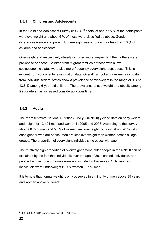# **1.5.1 Children and Adolescents**

In the Child and Adolescent Survey (KiGGS)<sup>2</sup> a total of about 15 % of the participants were overweight and about 6 % of those were classified as obese. Gender differences were not apparent. Underweight was a concern for less than 10 % of children and adolescents.

Overweight and respectively obesity occurred more frequently if the mothers were pre-obese or obese. Children from migrant families or those with a low socioeconomic status were also more frequently overweight resp. obese. This is evident from school entry examination data. Overall, school entry examination data from individual federal states show a prevalence of overweight in the range of 9 % to 13.6 % among 6-year-old children. The prevalence of overweight and obesity among first graders has increased considerably over time.

# **1.5.2 Adults**

The representative National Nutrition Survey II (NNS II) yielded data on body weight and height for 13 194 men and women in 2005 and 2006. According to the survey about 68 % of men and 50 % of women are overweight including about 20 % within each gender who are obese. Men are less overweight than women across all age groups. The proportion of overweight individuals increases with age.

The relatively high proportion of overweight among older people in the NNS II can be explained by the fact that individuals over the age of 80, disabled individuals, and people living in nursing homes were not included in the survey. Only very few individuals were underweight (1.9 % women, 0.7 % men).

It is to note that normal weight is only observed in a minority of men above 35 years and women above 55 years.

 2 2003-2006: 17 641 participants, age: 0 - < 18 years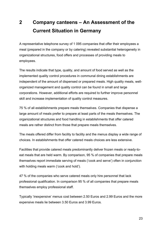# **2 Company canteens – An Assessment of the Current Situation in Germany**

A representative telephone survey of 1 095 companies that offer their employees a meal (prepared in the company or by catering) revealed substantial heterogeneity in organizational structures, food offers and processes of providing meals to employees.

The results indicate that type, quality, and amount of food served as well as the implemented quality control procedures in communal dining establishments are independent of the amount of dispensed or prepared meals. High quality meals, wellorganized management and quality control can be found in small and large corporations. However, additional efforts are required to further improve personnel skill and increase implementation of quality control measures.

75 % of all establishments prepare meals themselves. Companies that dispense a large amount of meals prefer to prepare at least parts of the meals themselves. The organizational structures and food handling in establishments that offer catered meals are rather distinct from those that prepare meals themselves.

The meals offered differ from facility to facility and the menus display a wide range of choices. In establishments that offer catered meals choices are less extensive.

Facilities that provide catered meals predominantly deliver frozen meals or ready-toeat meals that are held warm. By comparison, 95 % of companies that prepare meals themselves report immediate serving of meals ('cook and serve') often in conjunction with holding meals warm ('cook and hold').

47 % of the companies who serve catered meals only hire personnel that lack professional qualification. In comparison 95 % of all companies that prepare meals themselves employ professional staff.

Typically 'inexpensive' menus cost between 2.50 Euros and 2.99 Euros and the more expensive meals lie between 3.50 Euros and 3.99 Euros.

23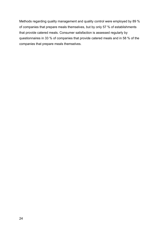Methods regarding quality management and quality control were employed by 89 % of companies that prepare meals themselves, but by only 57 % of establishments that provide catered meals. Consumer satisfaction is assessed regularly by questionnaires in 33 % of companies that provide catered meals and in 58 % of the companies that prepare meals themselves.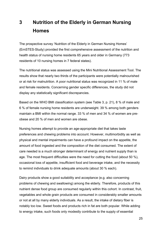# **3 Nutrition of the Elderly in German Nursing Homes**

The prospective survey 'Nutrition of the Elderly in German Nursing Homes' (ErnSTES-Study) provided the first comprehensive assessment of the nutrition and health status of nursing home residents 65 years and older in Germany (773 residents of 10 nursing homes in 7 federal states).

The nutritional status was assessed using the Mini Nutritional Assessment Tool. The results show that nearly two thirds of the participants were potentially malnourished or at risk for malnutrition. A poor nutritional status was recognized in 11 % of male and female residents. Concerning gender specific differences, the study did not display any statistically significant discrepancies.

Based on the WHO BMI classification system (see Table 3, p. 21), 8 % of male and 6 % of female nursing home residents are underweight. 39 % among both genders maintain a BMI within the normal range. 33 % of men and 34 % of women are preobese and 20 % of men and women are obese.

Nursing homes attempt to provide an age-appropriate diet that takes taste preferences and chewing problems into account. However, multimorbidity as well as physical and mental impairments can have a profound impact on the appetite, the amount of food ingested and the composition of the diet consumed. The extent of care needed is a much stronger determinant of energy and nutrient supply than is age. The most frequent difficulties were the need for cutting the food (about 50 %), occasional loss of appetite, insufficient food and beverage intake, and the necessity to remind individuals to drink adequate amounts (about 30 % each).

Dairy products show a good suitability and acceptance (e.g. also concerning problems of chewing and swallowing) among the elderly. Therefore, products of this nutrient dense food group are consumed regularly within this cohort. In contrast, fruit, vegetables and whole grain products are consumed in considerably smaller amounts or not at all by many elderly individuals. As a result, the intake of dietary fiber is notably too low. Sweet foods and products rich in fat are both popular. While adding to energy intake, such foods only modestly contribute to the supply of essential

25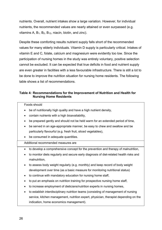nutrients. Overall, nutrient intakes show a large variation. However, for individual nutrients, the recommended values are nearly attained or even surpassed (e.g. vitamins A,  $B_1$ ,  $B_2$ ,  $B_{12}$ , niacin, biotin, and zinc).

Despite these comforting results nutrient supply falls short of the recommended values for many elderly individuals. Vitamin D supply is particularly critical. Intakes of vitamin E and C, folate, calcium and magnesium were evidently too low. Since the participation of nursing homes in the study was entirely voluntary, positive selection cannot be excluded. It can be expected that true deficits in food and nutrient supply are even greater in facilities with a less favourable infrastructure. There is still a lot to be done to improve the nutrition situation for nursing home residents. The following table shows a list of recommendations.

#### **Table 4: Recommendations for the Improvement of Nutrition and Health for Nursing Home Residents**

Foods should

- be of nutritionally high quality and have a high nutrient density,
- contain nutrients with a high bioavailability,
- be prepared gently and should not be held warm for an extended period of time,
- be served in an age-appropriate manner, be easy to chew and swallow and be particularly flavourful (e.g. fresh fruit, sliced vegetables),
- be consumed in adequate quantities.

#### Additional recommended measures are

- to develop a comprehensive concept for the prevention and therapy of malnutrition,
- to monitor diets regularly and secure early diagnosis of diet-related health risks and malnutrition,
- to assess body weight regularly (e.g. monthly) and keep record of body weight development over time (as a basic measure for monitoring nutritional status)
- to continue with mandatory education for nursing home staff,
- to put an emphasis on nutrition training for prospective nursing home staff,
- to increase employment of dieticians/nutrition experts in nursing homes,
- to establish interdisciplinary nutrition teams (consisting of management of nursing service, kitchen management, nutrition expert, physician, therapist depending on the indication, home economics management).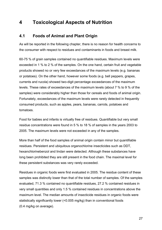# **4 Toxicological Aspects of Nutrition**

# **4.1 Foods of Animal and Plant Origin**

As will be reported in the following chapter, there is no reason for health concerns to the consumer with respect to residues and contaminants in foods and breast milk.

60-75 % of grain samples contained no quantifiable residues. Maximum levels were exceeded in 1 % to 2 % of the samples. On the one hand, certain fruit and vegetable products showed no or very few exceedances of the maximum levels (e.g. bananas or potatoes). On the other hand, however some foods (e.g. bell peppers, grapes, currents and rucola) showed two-digit percentage exceedances of the maximum levels. These rates of exceedances of the maximum levels (about 7 % to 9 % of the samples) were considerably higher than those for cereals and foods of animal origin. Fortunately, exceedances of the maximum levels were rarely detected in frequently consumed products, such as apples, pears, bananas, carrots, potatoes and tomatoes.

Food for babies and infants is virtually free of residues. Quantifiable but very small residue concentrations were found in 5 % to 18 % of samples in the years 2003 to 2005. The maximum levels were not exceeded in any of the samples.

More than half of the food samples of animal origin contain minor but quantifiable residues. Persistent and ubiquitous organochlorine insecticides such as DDT, hexanchlorinebenzol and lindan were detected. Although these substances have long been prohibited they are still present in the food chain. The maximal level for these persistent substances was very rarely exceeded.

Residues in organic foods were first evaluated in 2005. The residue content of these samples was distinctly lower than that of the total number of samples. Of the samples evaluated, 71.3 % contained no quantifiable residues, 27.2 % contained residues in very small quantities and only 1.5 % contained residues in concentrations above the maximum level. The median amounts of insecticide residues in organic foods were statistically significantly lower (<0.005 mg/kg) than in conventional foods (0.4 mg/kg on average).

27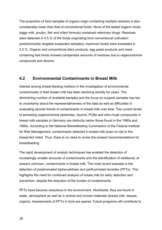The proportion of food samples of organic origin containing multiple residues is also considerably lower than that of conventional foods. None of the tested organic foods (eggs milk, poultry, fish and infant formula) contained veterinary drugs. Residues were detected in 4.5 % of the foods originating from conventional cultivation (predominantly targeted suspected samples); maximum levels were exceeded in 2.5 %. Organic and conventional dairy products, egg pasta products and meatcontaining fast foods showed comparable amounts of residues due to organochlorine compounds and dioxine.

# **4.2 Environmental Contaminants in Breast Milk**

Interest among breast-feeding mothers in the investigation of environmental contaminants in their breast milk has been declining sturdily for years. The diminishing number of available samples and the focus on suspect samples has led to uncertainty about the representativeness of the data as well as difficulties in evaluating secular trends of contaminants in breast milk over time. The current levels of persisting organochlorine pesticides, dioxins, PCBs and nitro-musk compounds in breast milk samples in Germany are distinctly below those found in the 1980s and 1990s. According to the National Breastfeeding Commission of the Federal Institute for Risk Management, contaminants detected in breast milk pose no risk to the breast-fed infant. Thus, there is no need to revise the present recommendations for breastfeeding.

The rapid development of analytic techniques has enabled the detection of increasingly smaller amounts of contaminants and the identification of additional, at present unknown, contaminants in breast milk. The most recent example is the detection of polybromated biphenylethers and perfluorinated tensides (PFTs). This highlights the need for continued analysis of breast milk for early detection and prevention, despite the reduction of the burden of contaminants.

PFTs have become ubiquitous in the environment. Worldwide, they are found in water, atmosphere as well as in animal and human materials (breast milk, tissues, organs). Assessments of PFTs in food are sparse. Future programs will contribute to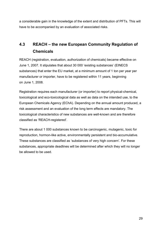a considerable gain in the knowledge of the extent and distribution of PFTs. This will have to be accompanied by an evaluation of associated risks.

# **4.3 REACH – the new European Community Regulation of Chemicals**

REACH (registration, evaluation, authorization of chemicals) became effective on June 1, 2007. It stipulates that about 30 000 'existing substances' (EINECS substances) that enter the EU market, at a minimum amount of 1 ton per year per manufacturer or importer, have to be registered within 11 years, beginning on June 1, 2008.

Registration requires each manufacturer (or importer) to report physical-chemical, toxicological and eco-toxicological data as well as data on the intended use, to the European Chemicals Agency (EChA). Depending on the annual amount produced, a risk assessment and an evaluation of the long term effects are mandatory. The toxicological characteristics of new substances are well-known and are therefore classified as 'REACH-registered'.

There are about 1 000 substances known to be carcinogenic, mutagenic, toxic for reproduction, hormon-like active, environmentally persistent and bio-accumulative. These substances are classified as 'substances of very high concern'. For these substances, appropriate deadlines will be determined after which they will no longer be allowed to be used.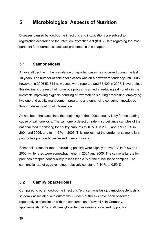# **5 Microbiological Aspects of Nutrition**

Diseases caused by food-borne infections and intoxications are subject to registration according to the Infection Protection Act (IfSG). Data regarding the most pertinent food-borne diseases are presented in this chapter.

# **5.1 Salmonellosis**

An overall decline in the prevalence of reported cases has occurred during the last 10 years. The number of salmonella cases was on a downward tendency until 2005, however, in 2006 52 644 new cases were reported and 55 400 in 2007. Nevertheless this decline is the result of numerous programs aimed at reducing salmonella in the livestock, improving hygienic handling of raw materials during processing, employing hygiene and quality management programs and enhancing consumer knowledge through dissemination of information.

As has been the case since the beginning of the 1990s, poultry is by far the leading cause of salmonellosis. The salmonella detection rate in surveillance samples of the national food monitoring for poultry amounts to 16.5 % in 2003, about 9 - 10 % in 2004 and 2005, and to 11.5 % in 2006. This implies that the burden of salmonella in poultry has principally decreased in recent years.

Salmonella rates for meat (excluding poultry) were slightly above 2 % in 2003 and 2006, while rates were somewhat higher in 2004 and 2005. The salmonella rate for pork has dropped continuously to less than 3 % of the surveillance samples. The salmonella rate of eggs remained relatively constant (0.44 % to 0.59 %).

# **5.2 Campylobacteriosis**

Compared to other food-borne infections (e.g. salmonellosis), campylobacteriosis is seldomly associated with outbreaks. Sudden outbreaks have been observed repeatedly in association with the consumption of raw milk. In Germany, approximately 50 % of all campylobacteriosis cases are caused by poultry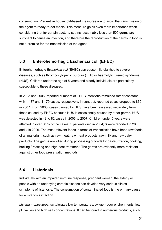consumption. Preventive household-based measures are to avoid the transmission of the agent to ready-to-eat meals. This measure gains even more importance when considering that for certain bacteria strains, assumably less than 500 germs are sufficient to cause an infection, and therefore the reproduction of the germs in food is not a premise for the transmission of the agent.

# **5.3 Enterohemorhagic Eschericia coli (EHEC)**

Enterohemorhagic *Eschericia coli* (EHEC) can cause mild diarrhea to severe diseases, such as thrombocytopenic purpura (TTP) or haemolytic uremic syndrome (HUS). Children under the age of 5 years and elderly individuals are particularly susceptible to these diseases.

In 2003 and 2006, reported numbers of EHEC infections remained rather constant with 1 137 and 1 179 cases, respectively. In contrast, reported cases dropped to 839 in 2007. From 2003, cases caused by HUS have been assessed separately from those caused by EHEC because HUS is occasionally caused by other germs. HUS was detected in 43 to 82 cases in 2003 to 2007. Children under 5 years were affected in over 60 % of the cases. 5 patients died in 2004; 3 were reported in 2005 and 4 in 2006. The most relevant foods in terms of transmission have been raw foods of animal origin, such as raw meat, raw meat products, raw milk and raw dairy products. The germs are killed during processing of foods by pasteurization, cooking, broiling / roasting and high heat treatment. The germs are evidently more resistant against other food preservation methods.

# **5.4 Listeriosis**

Individuals with an impaired immune response, pregnant women, the elderly or people with an underlying chronic disease can develop very serious clinical symptoms of listeriosis. The consumption of contaminated food is the primary cause for a listeriosis infection.

*Listeria monocytogenes* tolerates low temperatures, oxygen-poor environments, low pH values and high salt concentrations. It can be found in numerous products, such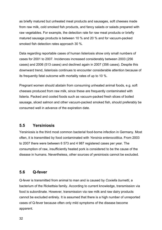as briefly matured but unheated meat products and sausages, soft cheeses made from raw milk, cold smoked fish products, and fancy salads or salads prepared with raw vegetables. For example, the detection rate for raw meat products or briefly matured sausage products is between 10 % and 20 % and for vacuum-packed smoked fish detection rates approach 30 %.

Data regarding reportable cases of human listeriosis show only small numbers of cases for 2001 to 2007. Incidences increased considerably between 2003 (256 cases) and 2006 (513 cases) and declined again in 2007 (356 cases). Despite this downward trend, listeriosis continues to encounter considerable attention because of its frequently fatal outcome with mortality rates of up to 10 %.

Pregnant women should abstain from consuming unheated animal foods, e.g. soft cheeses produced from raw milk, since these are frequently contaminated with listeria. Packed and cooled foods such as vacuum-packed fresh slices of boiled sausage, sliced salmon and other vacuum-packed smoked fish, should preferably be consumed well in advance of the expiration date.

# **5.5 Yersiniosis**

Yersiniosis is the third most common bacterial food-borne infection in Germany. Most often, it is transmitted by food contaminated with *Yersinia enterocolitica*. From 2003 to 2007 there were between 6 573 and 4 987 registered cases per year. The consumption of raw, insufficiently heated pork is considered to be the cause of the disease in humans. Nevertheless, other sources of yersiniosis cannot be excluded.

# **5.6 Q-fever**

Q-fever is transmitted from animal to man and is caused by *Coxiella burnetti*, a bacterium of the Rickettsia family. According to current knowledge, transmission via food is subordinate. However, transmission via raw milk and raw dairy products cannot be excluded entirely. It is assumed that there is a high number of unreported cases of Q-fever because often only mild symptoms of the disease become apparent.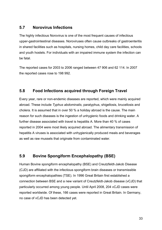# **5.7 Norovirus Infections**

The highly infectious Norovirus is one of the most frequent causes of infectious upper-gastrointestinal diseases. Noroviruses often cause outbreaks of gastroenteritis in shared facilities such as hospitals, nursing homes, child day care facilities, schools and youth hostels. For individuals with an impaired immune system the infection can be fatal.

The reported cases for 2003 to 2006 ranged between 47 906 and 62 114. In 2007 the reported cases rose to 198 992.

# **5.8 Food Infections acquired through Foreign Travel**

Every year, rare or non-endemic diseases are reported, which were mainly acquired abroad. These include *Typhus abdominalis*, paratyphus, shigellosis, brucellosis and cholera. It is assumed that in over 50 % a holiday abroad is the cause. The main reason for such diseases is the ingestion of unhygienic foods and drinking water. A further disease associated with travel is hepatitis A. More than 40 % of cases reported in 2004 were most likely acquired abroad. The alimentary transmission of hepatitis A viruses is associated with unhygienically produced meals and beverages as well as raw mussels that originate from contaminated water.

# **5.9 Bovine Spongiform Encephalopathy (BSE)**

Human Bovine spongiform encephalopathy (BSE) and Creutzfeldt-Jakob Disease (CJD) are affiliated with the infectious spongiform brain diseases or transmissible spongiform encephalopathies (TSE). In 1996 Great Britain first established a connection between BSE and a new variant of Creutzfeldt-Jakob disease (vCJD) that particularly occurred among young people. Until April 2008, 204 vCJD cases were reported worldwide. Of these, 166 cases were reported in Great Britain. In Germany, no case of vCJD has been detected yet.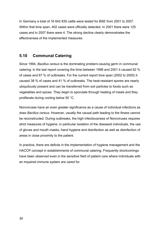In Germany a total of 16 642 835 cattle were tested for BSE from 2001 to 2007. Within that time span, 402 cases were officially detected. In 2001 there were 125 cases and in 2007 there were 4. The strong decline clearly demonstrates the effectiveness of the implemented measures.

# **5.10 Communal Catering**

Since 1994, *Bacillus cereus* is the dominating problem-causing germ in communal catering: in the last report covering the time between 1998 and 2001 it caused 62 % of cases and 67 % of outbreaks. For the current report time span (2002 to 2005) it caused 38 % of cases and 41 % of outbreaks. The heat-resistant spores are nearly ubiquitously present and can be transferred from soil particles to foods such as vegetables and spices. They begin to sporulate through heating of meals and they proliferate during cooling below 55 °C.

Noroviruses have an even greater significance as a cause of individual infections as does *Bacillus cereus*. However, usually the causal path leading to the illness cannot be reconstructed. During outbreaks, the high infectiousness of Noroviruses requires strict measures of hygiene, in particular isolation of the diseased individuals, the use of gloves and mouth masks, hand hygiene and disinfection as well as disinfection of areas in close proximity to the patient.

In practice, there are deficits in the implementation of hygiene management and the HACCP concept in establishments of communal catering. Frequently shortcomings have been observed even in the sensitive field of patient care where individuals with an impaired immune system are cared for.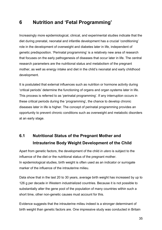# **6 Nutrition and 'Fetal Programming'**

Increasingly more epidemiological, clinical, and experimental studies indicate that the diet during prenatal, neonatal and infantile development has a crucial 'conditioning' role in the development of overweight and diabetes later in life, independent of genetic predisposition. 'Perinatal programming' is a relatively new area of research that focuses on the early pathogenesis of diseases that occur later in life. The central research parameters are the nutritional status and metabolism of the pregnant mother, as well as energy intake and diet in the child's neonatal and early childhood development.

It is postulated that external influences such as nutrition or hormone activity during 'critical periods' determine the functioning of organs and organ systems later in life. This process is referred to as 'perinatal programming'. If any interruption occurs in these critical periods during the 'programming', the chance to develop chronic diseases later in life is higher. The concept of perinatal programming provides an opportunity to prevent chronic conditions such as overweight and metabolic disorders at an early stage.

# **6.1 Nutritional Status of the Pregnant Mother and Intrauterine Body Weight Development of the Child**

Apart from genetic factors, the development of the child *in utero* is subject to the influence of the diet or the nutritional status of the pregnant mother. In epidemiological studies, birth weight is often used as an indicator or surrogate marker of the influence of the intrauterine milieu.

Data show that in the last 20 to 30 years, average birth weight has increased by up to 126 g per decade in Western industrialized countries. Because it is not possible to substantially alter the gene pool of the population of many countries within such a short time, other non-genetic causes must account for this.

Evidence suggests that the intrauterine milieu indeed is a stronger determinant of birth weight than genetic factors are. One impressive study was conducted in Britain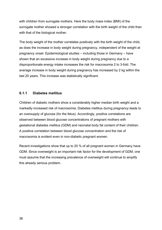with children from surrogate mothers. Here the body mass index (BMI) of the surrogate mother showed a stronger correlation with the birth weight of the child than with that of the biological mother.

The body weight of the mother correlates positively with the birth weight of the child, as does the increase in body weight during pregnancy, independent of the weight at pregnancy onset. Epidemiological studies – including those in Germany – have shown that an excessive increase in body weight during pregnancy due to a disproportionate energy intake increases the risk for macrosomia 2 to 3-fold. The average increase in body weight during pregnancy has increased by 2 kg within the last 20 years. This increase was statistically significant.

# **6.1.1 Diabetes mellitus**

Children of diabetic mothers show a considerably higher median birth weight and a markedly increased risk of macrosomia. Diabetes mellitus during pregnancy leads to an oversupply of glucose (for the fetus). Accordingly, positive correlations are observed between blood glucose concentrations of pregnant mothers with gestational diabetes mellitus (GDM) and neonatal body fat content of their children. A positive correlation between blood glucose concentration and the risk of macrosomia is evident even in non-diabetic pregnant women.

Recent investigations show that up to 20 % of all pregnant women in Germany have GDM. Since overweight is an important risk factor for the development of GDM, one must assume that the increasing prevalence of overweight will continue to amplify this already serious problem.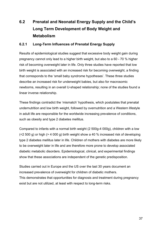# **6.2 Prenatal and Neonatal Energy Supply and the Child's Long Term Development of Body Weight and Metabolism**

# **6.2.1 Long-Term Influences of Prenatal Energy Supply**

Results of epidemiological studies suggest that excessive body weight gain during pregnancy cannot only lead to a higher birth weight, but also to a 60 - 70 % higher risk of becoming overweight later in life. Only three studies have reported that low birth weight is associated with an increased risk for becoming overweight, a finding that corresponds to the 'small baby syndrome hypotheses'. These three studies describe an increased risk for underweight babies, but also for macrosomic newborns, resulting in an overall U-shaped relationship; none of the studies found a linear inverse relationship.

These findings contradict the 'mismatch' hypothesis, which postulates that prenatal undernutrition and low birth weight, followed by overnutrition and a Western lifestyle in adult life are responsible for the worldwide increasing prevalence of conditions, such as obesity and type 2 diabetes mellitus.

Compared to infants with a normal birth weight (2 500g-4 000g), children with a low  $\approx$  2 500 g) or high ( $>$  4 000 g) birth weight show a 40 % increased risk of developing type 2 diabetes mellitus later in life. Children of mothers with diabetes are more likely to be overweight later in life and are therefore more prone to develop associated diabetic metabolic disorders. Epidemiological, clinical, and experimental findings show that these associations are independent of the genetic predisposition.

Studies carried out in Europe and the US over the last 30 years document an increased prevalence of overweight for children of diabetic mothers. This demonstrates that opportunities for diagnosis and treatment during pregnancy exist but are not utilized, at least with respect to long-term risks.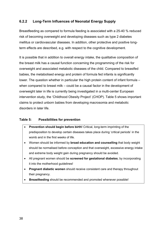# **6.2.2****Long-Term Influences of Neonatal Energy Supply**

Breastfeeding as compared to formula feeding is associated with a 25-40 % reduced risk of becoming overweight and developing diseases such as type 2 diabetes mellitus or cardiovascular diseases. In addition, other protective and positive longterm effects are described, e.g. with respect to the cognitive development.

It is possible that in addition to overall energy intake, the qualitative composition of the breast milk has a causal function concerning the programming of the risk for overweight and associated metabolic diseases of the child. Compared to breastfed babies, the metabolised energy and protein of formula fed infants is significantly lower. The question whether in particular the high protein content of infant formula – when compared to breast milk – could be a causal factor in the development of overweight later in life is currently being investigated in a multi-center European intervention study, the 'Childhood Obesity Project' (CHOP). Table 5 shows important claims to protect unborn babies from developing macrosomia and metabolic disorders in later life.

#### **Table 5: Possibilities for prevention**

- **Prevention should begin before birth!** Critical, long-term imprinting of the predisposition to develop certain diseases takes place during 'critical periods' in the womb and in the first weeks of life.
- Women should be informed by **broad education and counselling** that body weight should be normalised before conception and that overweight, excessive energy intake and extreme body weight gain during pregnancy should be avoided.
- All pregnant women should be **screened for gestational diabetes**; by incorporating it into the motherhood guidelines!
- **Pregnant diabetic women** should receive consistent care and therapy throughout their pregnancy.
- **Breastfeeding** should be recommended and promoted whenever possible!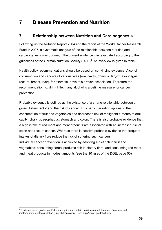# **7 Disease Prevention and Nutrition**

# **7.1 Relationship between Nutrition and Carcinogenesis**

Following up the Nutrition Report 2004 and the report of the World Cancer Research Fund in 2007, a systematic analysis of the relationship between nutrition and carcinogenesis was pursued. The current evidence was evaluated according to the guidelines of the German Nutrition Society (DGE)<sup>3</sup>. An overview is given in table 6.

Health policy recommendations should be based on convincing evidence. Alcohol consumption and cancers of various sites (oral cavity, pharynx, larynx, esophagus, rectum, breast, liver), for example, have this proven association. Therefore the recommendation to, drink little, if any alcohol is a definite measure for cancer prevention.

Probable evidence is defined as the existence of a strong relationship between a given dietary factor and the risk of cancer. This particular rating applies to the consumption of fruit and vegetables and decreased risk of malignant tumours of oral cavity, pharynx, esophagus, stomach and colon. There is also probable evidence that a high intake of red meat and meat products are associated with an increased risk of colon and rectum cancer. Whereas there is positive probable evidence that frequent intakes of dietary fibre reduce the risk of suffering such cancers.

Individual cancer prevention is achieved by adopting a diet rich in fruit and vegetables, consuming cereal products rich in dietary fibre, and consuming red meat and meat products in modest amounts (see the 10 rules of the DGE, page 50).

 $\overline{a}$  $3$  Evidence based guidelines: Fat consumption and certain nutrition-related diseases. Summary and implementation of the guideline (English translation). See: http://www.dge.de/leitlinie/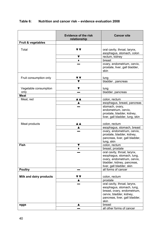| Table 6: | Nutrition and cancer risk – evidence evaluation 2008 |
|----------|------------------------------------------------------|
|          |                                                      |

|                         | <b>Evidence of the risk</b><br>relationship | <b>Cancer site</b>                                                                                                                                  |
|-------------------------|---------------------------------------------|-----------------------------------------------------------------------------------------------------------------------------------------------------|
| Fruit & vegetables      |                                             |                                                                                                                                                     |
| Total                   | V V                                         | oral cavity, throat, larynx,<br>esophagus, stomach, colon                                                                                           |
|                         | ▼                                           | rectum, kidney                                                                                                                                      |
|                         | ٠                                           | breast                                                                                                                                              |
|                         |                                             | ovary, endometrium, cervix,                                                                                                                         |
|                         |                                             | prostate, liver, gall bladder,<br>skin                                                                                                              |
|                         | V V                                         |                                                                                                                                                     |
| Fruit consumption only  |                                             | lung                                                                                                                                                |
|                         |                                             | bladder, pancreas                                                                                                                                   |
| Vegetable consumption   |                                             | lung                                                                                                                                                |
| only                    |                                             | bladder, pancreas                                                                                                                                   |
| Meat                    |                                             |                                                                                                                                                     |
| Meat, red               | ▲▲                                          | colon, rectum                                                                                                                                       |
|                         |                                             | esophagus, breast, pancreas                                                                                                                         |
|                         |                                             | stomach, ovary,                                                                                                                                     |
|                         |                                             | endometrium, cervix,                                                                                                                                |
|                         |                                             | prostate, bladder, kidney,                                                                                                                          |
|                         |                                             | liver, gall bladder, lung, skin                                                                                                                     |
|                         |                                             |                                                                                                                                                     |
| Meat products           |                                             | colon, rectum                                                                                                                                       |
|                         |                                             | esophagus, stomach, breast                                                                                                                          |
|                         |                                             | ovary, endometrium, cervix,                                                                                                                         |
|                         |                                             | prostate, bladder, kidney,                                                                                                                          |
|                         |                                             | pancreas, liver, gall bladder,                                                                                                                      |
|                         |                                             | lung, skin                                                                                                                                          |
| Fish                    | ▼                                           | colon, rectum                                                                                                                                       |
|                         |                                             | breast, prostate                                                                                                                                    |
|                         |                                             | oral cavity, throat, larynx,<br>esophagus, stomach, lung,<br>ovary, endometrium, cervix,<br>bladder, kidney, pancreas,<br>liver, gall bladder, skin |
| <b>Poultry</b>          |                                             | all forms of cancer                                                                                                                                 |
|                         |                                             |                                                                                                                                                     |
| Milk and dairy products |                                             | colon, rectum                                                                                                                                       |
|                         |                                             | prostate                                                                                                                                            |
|                         |                                             | oral cavity, throat, larynx,                                                                                                                        |
|                         |                                             | esophagus, stomach, lung,                                                                                                                           |
|                         |                                             | breast, ovary, endometrium,                                                                                                                         |
|                         |                                             | cervix, bladder, kidney,                                                                                                                            |
|                         |                                             | pancreas, liver, gall bladder,                                                                                                                      |
|                         |                                             | skin                                                                                                                                                |
| eggs                    | ▲                                           | breast                                                                                                                                              |
|                         |                                             | all other forms of cancer                                                                                                                           |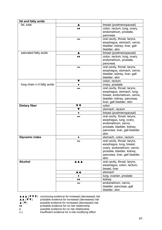| fat and fatty acids        |            |                                                                                                                                                                 |
|----------------------------|------------|-----------------------------------------------------------------------------------------------------------------------------------------------------------------|
| fat. total                 |            | breast (postmenopausal)                                                                                                                                         |
|                            |            | colon, rectum, lung, ovary,<br>endometrium, prostate,<br>pancreas                                                                                               |
|                            |            | oral cavity, throat, larynx,<br>esophagus, stomach, cervix,<br>bladder, kidney, liver, gall<br>bladder, skin                                                    |
| saturated fatty acids      |            | breast (postmenopausal)                                                                                                                                         |
|                            |            | colon, rectum, lung, ovary,<br>endometrium, prostate,<br>pancreas                                                                                               |
|                            |            | oral cavity, throat, larynx,<br>esophagus, stomach, cervix,<br>bladder, kidney, liver, gall<br>bladder, skin                                                    |
|                            | v          | colon, rectum                                                                                                                                                   |
| long chain n-3 fatty acids |            | ovary, prostate                                                                                                                                                 |
|                            |            | oral cavity, throat, larynx,<br>esophagus, stomach, lung,<br>breast, endometrium, cervix,<br>bladder, kidney, pancreas,<br>liver, gall bladder, skin            |
| Dietary fiber              | V V        | colon                                                                                                                                                           |
|                            |            | stomach, rectum                                                                                                                                                 |
|                            |            | breast (postmenopausal)                                                                                                                                         |
|                            |            | oral cavity, throat, larynx,<br>esophagus, lung, ovary,<br>endometrium, cervix,<br>prostate, bladder, kidney,<br>pancreas, liver, gall bladder,<br>skin         |
| <b>Glycemic index</b>      |            | stomach, colon, rectum                                                                                                                                          |
|                            |            | oral cavity, throat, larynx,<br>esophagus, lung, breast,<br>ovary, endometrium, cervix,<br>prostate, bladder, kidney,<br>pancreas, liver, gall bladder,<br>skin |
| <b>Alcohol</b>             | <b>AAA</b> | oral cavity, throat, larynx,                                                                                                                                    |
|                            |            | esophagus, colon, rectum,<br>breast, liver                                                                                                                      |
|                            | ▲▲         | stomach                                                                                                                                                         |
|                            | ٠          | lung, ovarian, prostate                                                                                                                                         |
|                            | ◆◆         | kidney                                                                                                                                                          |
|                            |            | endometrium, cervix,<br>bladder, pancreas, gall<br>bladder, skin                                                                                                |

|                                                         | $\triangle \triangle \triangle$ ( $\nabla \nabla \nabla$ ) convincing evidence for inreased (decreased) risk |
|---------------------------------------------------------|--------------------------------------------------------------------------------------------------------------|
| $\lambda$ $\lambda$ $\lambda$ $\mathbf{w}$ $\mathbf{v}$ | arabable ouidance for increased (decreased) rick                                                             |

- ▲▲ (▼▼) probable evidence for increased (decreased) risk ▲ (▼) possible evidence for increased (decreased) risk
- ♦♦ probable evidence for no risk relationship
- ♦ possible evidence for no risk relationship
- (**–**) insufficient evidence for a risk-modifying effect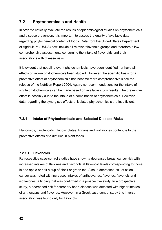# **7.2 Phytochemicals and Health**

In order to critically evaluate the results of epidemiological studies on phytochemicals and disease prevention, it is important to assess the quality of available data regarding phytochemical content of foods. Data from the United States Department of Agriculture (USDA) now include all relevant flavonoid groups and therefore allow comprehensive assessments concerning the intake of flavonoids and their associations with disease risks.

It is evident that not all relevant phytochemicals have been identified nor have all effects of known phytochemicals been studied. However, the scientific basis for a preventive effect of phytochemicals has become more comprehensive since the release of the Nutrition Report 2004. Again, no recommendations for the intake of single phytochemicals can be made based on available study results. The preventive effect is possibly due to the intake of a combination of phytochemicals. However, data regarding the synergistic effects of isolated phytochemicals are insufficient.

# **7.2.1 Intake of Phytochemicals and Selected Disease Risks**

Flavonoids, carotenoids, glucosinolates, lignans and isoflavones contribute to the preventive effects of a diet rich in plant foods.

#### **7.2.1.1 Flavonoids**

Retrospective case-control studies have shown a decreased breast cancer risk with increased intakes of flavones and flavonols at flavonoid levels corresponding to those in one apple or half a cup of black or green tea. Also, a decreased risk of colon cancer was noted with increased intakes of anthocyanes, flavones, flavonols and isoflavones, a finding that was confirmed in a prospective study. In a prospective study, a decreased risk for coronary heart disease was detected with higher intakes of anthocyans and flavones. However, in a Greek case-control study this inverse association was found only for flavonols.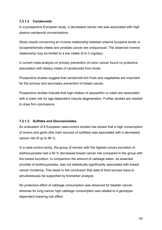# **7.2.1.2 Carotenoids**

In a prospective European study, a decreased cancer risk was associated with high plasma carotenoid concentrations.

Study results concerning an inverse relationship between plasma lycopene levels or lycopene/tomato intake and prostate cancer are unequivocal. The observed inverse relationship may be limited to a low intake (0 to 2 mg/day).

A current meta-analysis on primary prevention of colon cancer found no protective association with dietary intake of carotenoids from foods.

Prospective studies suggest that carotenoid-rich fruits and vegetables are important for the primary and secondary prevention of breast cancer.

Prospective studies indicate that high intakes of zeaxanthin or lutein are associated with a lower risk for age-dependent macula degeneration. Further studies are needed to draw firm conclusions.

# **7.2.1.3 Sulfides and Glucosinolates**

An evaluation of 8 European case-control studies has shown that a high consumption of onions and garlic (the main sources of sulfides) was associated with a decreased cancer risk of up to 88 %.

In a case-control study, the group of women with the highest urinary excretion of isothiocyanates had a 50 % decreased breast cancer risk compared to the group with the lowest excretion. In comparison the amount of cabbage eaten, as essential provider of isothiocyanates, was not statistically significantly associated with breast cancer incidence. This leads to the conclusion that data of food surveys have to simultaneously be supported by biomarker analysis.

No protective effect of cabbage consumption was observed for bladder cancer, whereas for lung cancer high cabbage consumption was related to a genotypedependent lowering risk effect.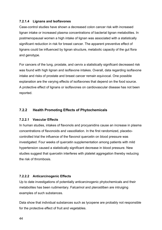# **7.2.1.4 Lignans and Isoflavones**

Case-control studies have shown a decreased colon cancer risk with increased lignan intake or increased plasma concentrations of bacterial lignan metabolites. In postmenopausal women a high intake of lignan was associated with a statistically significant reduction in risk for breast cancer. The apparent preventive effect of lignans could be influenced by lignan structure, metabolic capacity of the gut flora and genotype.

For cancers of the lung, prostate, and cervix a statistically significant decreased risk was found with high lignan and isoflavone intakes. Overall, data regarding isoflavone intake and risks of prostate and breast cancer remain equivocal. One possible explanation are the varying effects of isoflavones that depend on the food source. A protective effect of lignans or isoflavones on cardiovascular disease has not been reported.

# **7.2.2 Health Promoting Effects of Phytochemicals**

#### **7.2.2.1 Vascular Effects**

In human studies, intakes of flavonols and procyanidins cause an increase in plasma concentrations of flavonoids and vasodilation. In the first randomized, placebocontrolled trial the influence of the flavonol quercetin on blood pressure was investigated. Four weeks of quercetin supplementation among patients with mild hypertension caused a statistically significant decrease in blood pressure. New studies suggest that quercetin interferes with platelet aggregation thereby reducing the risk of thrombosis.

# **7.2.2.2 Anticarcinogenic Effects**

Up to date investigations of potentially anticarcinogenic phytochemicals and their metabolites has been rudimentary. Falcarinol and pterostilben are intruiging examples of such substances.

Data show that individual substances such as lycopene are probably not responsible for the protective effect of fruit and vegetables.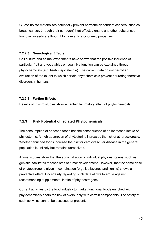Glucosinolate metabolites potentially prevent hormone-dependent cancers, such as breast cancer, through their estrogen(-like) effect. Lignans and other substances found in linseeds are thought to have anticarcinogenic properties.

#### **7.2.2.3 Neurological Effects**

Cell culture and animal experiments have shown that the positive influence of particular fruit and vegetables on cognitive function can be explained through phytochemicals (e.g. fisetin, epicatechin). The current data do not permit an evaluation of the extent to which certain phytochemicals prevent neurodegenerative disorders in humans.

# **7.2.2.4 Further Effects**

Results of *in vitro* studies show an anti-inflammatory effect of phytochemicals.

# **7.2.3 Risk Potential of Isolated Phytochemicals**

The consumption of enriched foods has the consequence of an increased intake of phytosterins. A high absorption of phytosterins increases the risk of atherosclerosis. Whether enriched foods increase the risk for cardiovascular disease in the general population is unlikely but remains unresolved.

Animal studies show that the administration of individual phytoestrogens, such as genistin, facilitates mechanisms of tumor development. However, that the same dose of phytoestrogens given in combination (e.g., isoflavones and lignins) shows a preventive effect. Uncertainty regarding such data allows to argue against recommending supplemental intake of phytoestrogens.

Current activities by the food industry to market functional foods enriched with phytochemicals bears the risk of oversupply with certain components. The safety of such activities cannot be assessed at present.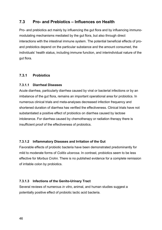# **7.3 Pro- and Prebiotics – Influences on Health**

Pro- and prebiotics act mainly by influencing the gut flora and by influencing immunomodulating mechanisms mediated by the gut flora, but also through direct interactions with the intestinal immune system. The potential beneficial effects of proand prebiotics depend on the particular substance and the amount consumed, the individuals' health status, including immune function, and interindividual nature of the gut flora.

# **7.3.1 Probiotics**

# **7.3.1.1 Diarrheal Diseases**

Acute diarrhea, particularly diarrhea caused by viral or bacterial infections or by an imbalance of the gut flora, remains an important operational area for probiotics. In numerous clinical trials and meta-analyses decreased infection frequency and shortened duration of diarrhea has verified the effectiveness. Clinical trials have not substantiated a positive effect of probiotics on diarrhea caused by lactose intolerance. For diarrhea caused by chemotherapy or radiation therapy there is insufficient proof of the effectiveness of probiotics.

# **7.3.1.2 Inflammatory Diseases and Irritation of the Gut**

Favorable effects of probiotic bacteria have been demonstrated predominantly for mild to moderate forms of *Colitis ulcerosa*. In contrast, probiotics seem to be less effective for *Morbus Crohn*. There is no published evidence for a complete remission of irritable colon by probiotics.

# **7.3.1.3 Infections of the Genito-Urinary Tract**

Several reviews of numerous *in vitro*, animal, and human studies suggest a potentially positive effect of probiotic lactic acid bacteria.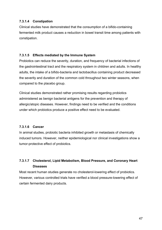# **7.3.1.4 Constipation**

Clinical studies have demonstrated that the consumption of a bifido-containing fermented milk product causes a reduction in bowel transit time among patients with constipation.

# **7.3.1.5 Effects mediated by the Immune System**

Probiotics can reduce the severity, duration, and frequency of bacterial infections of the gastrointestinal tract and the respiratory system in children and adults. In healthy adults, the intake of a bifido-bacteria and lactobacillus containing product decreased the severity and duration of the common cold throughout two winter seasons, when compared to the placebo group.

Clinical studies demonstrated rather promising results regarding probiotics administered as benign bacterial antigens for the prevention and therapy of allergic/atopic diseases. However, findings need to be verified and the conditions under which probiotics produce a positive effect need to be evaluated.

#### **7.3.1.6 Cancer**

In animal studies, probiotic bacteria inhibited growth or metastasis of chemically induced tumors. However, neither epidemiological nor clinical investigations show a tumor-protective effect of probiotics.

# **7.3.1.7 Cholesterol, Lipid Metabolism, Blood Pressure, and Coronary Heart Diseases**

Most recent human studies generate no cholesterol-lowering effect of probiotics. However, various controlled trials have verified a blood pressure-lowering effect of certain fermented dairy products.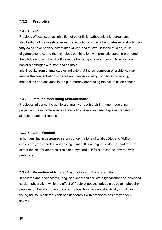# **7.3.2 Prebiotics**

# **7.3.2.1 Gut**

Prebiotic effects, such as inhibition of potentially pathogenic microorganisms, stabilisation of the intestinal milieu by reductions of the pH and release of short-chain fatty acids have been substantiated *in vivo* and *in vitro*. In these studies, inulin, oligofructose, etc. and their synbiotic combination with probiotic bacteria promoted the bifidus and lactobacillus flora in the human gut flora and/or inhibited certain bacteria pathogenic to man and animals.

Initial results from animal studies indicate that the consumption of prebiotics may reduce the concentration of genotoxic, cancer initiating, or cancer promoting metabolites and enzymes in the gut, thereby decreasing the risk of colon cancer.

# **7.3.2.2 Immune-modulating Characteristics**

Prebiotics influence the gut flora primarily through their immune-modulating properties. Favourable effects of prebiotics have also been displayed regarding allergic or atopic diseases.

#### **7.3.2.3 Lipid Metabolism**

In humans, inulin decreased serum concentrations of total-, LDL-, and VLDLcholesterol, triglycerides, and fasting insulin. It is ambiguous whether and to what extent the risk for atherosclerosis and myocardial infarction can be lowered with prebiotics.

# **7.3.2.4 Promotion of Mineral Absorption and Bone Stability**

In children and adolescents, long- and short-chain fructo-oligosaccharides increased calcium absorption, while the effect of fructo-oligosaccharides plus casein phosphor peptides on the absorption of calcium phosphate was not statistically significant in young adults. A risk reduction of osteoporosis with prebiotics has not yet been shown.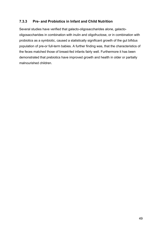# **7.3.3 Pre- and Probiotics in Infant and Child Nutrition**

Several studies have verified that galacto-oligosaccharides alone, galactooligosaccharides in combination with inulin and oligofructose, or in combination with probiotics as a symbiotic, caused a statistically significant growth of the gut bifidus population of pre-or full-term babies. A further finding was, that the characteristics of the feces matched those of breast-fed infants fairly well. Furthermore it has been demonstrated that prebiotics have improved growth and health in older or partially malnourished children.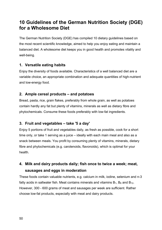# **10 Guidelines of the German Nutrition Society (DGE) for a Wholesome Diet**

The German Nutrition Society (DGE) has compiled 10 dietary guidelines based on the most recent scientific knowledge, aimed to help you enjoy eating and maintain a balanced diet. A wholesome diet keeps you in good health and promotes vitality and well-being.

# **1. Versatile eating habits**

Enjoy the diversity of foods available. Characteristics of a well balanced diet are a variable choice, an appropriate combination and adequate quantities of high-nutrient and low-energy food.

# **2. Ample cereal products – and potatoes**

Bread, pasta, rice, grain flakes, preferably from whole grain, as well as potatoes contain hardly any fat but plenty of vitamins, minerals as well as dietary fibre and phytochemicals. Consume these foods preferably with low-fat ingredients.

# **3. Fruit and vegetables – take '5 a day'**

Enjoy 5 portions of fruit and vegetables daily, as fresh as possible, cook for a short time only, or take 1 serving as a juice – ideally with each main meal and also as a snack between meals. You profit by consuming plenty of vitamins, minerals, dietary fibre and phytochemicals (e.g. carotenoids, flavonoids), which is optimal for your health.

# **4. Milk and dairy products daily; fish once to twice a week; meat, sausages and eggs in moderation**

These foods contain valuable nutrients, e.g. calcium in milk, iodine, selenium and n-3 fatty acids in saltwater fish. Meat contains minerals and vitamins  $B_1$ ,  $B_6$  and  $B_{12}$ . However, 300 - 600 grams of meat and sausages per week are sufficient. Rather choose low-fat products, especially with meat and dairy products.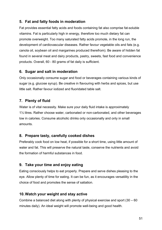# **5. Fat and fatty foods in moderation**

Fat provides essential fatty acids and foods containing fat also comprise fat-soluble vitamins. Fat is particularly high in energy, therefore too much dietary fat can promote overweight. Too many saturated fatty acids promote, in the long run, the development of cardiovascular diseases. Rather favour vegetable oils and fats (e.g. canola oil, soybean oil and margarines produced therefrom). Be aware of hidden fat found in several meat and dairy products, pastry, sweets, fast food and convenience products. Overall, 60 - 80 grams of fat daily is sufficient.

# **6. Sugar and salt in moderation**

Only occasionally consume sugar and food or beverages containing various kinds of sugar (e.g. glucose syrup). Be creative in flavouring with herbs and spices, but use little salt. Rather favour iodized and fluoridated table salt.

# **7. Plenty of fluid**

Water is of vital necessity. Make sure your daily fluid intake is approximately 1½ litres. Rather choose water, carbonated or non-carbonated, and other beverages low in calories. Consume alcoholic drinks only occasionally and only in small amounts.

# **8. Prepare tasty, carefully cooked dishes**

Preferably cook food on low heat, if possible for a short time, using little amount of water and fat. This will preserve the natural taste, conserve the nutrients and avoid the formation of harmful substances in food.

# **9. Take your time and enjoy eating**

Eating consciously helps to eat properly. Prepare and serve dishes pleasing to the eye. Allow plenty of time for eating. It can be fun, as it encourages versatility in the choice of food and promotes the sense of satiation.

# **10. Watch your weight and stay active**

Combine a balanced diet along with plenty of physical exercise and sport (30 – 60 minutes daily). An ideal weight will promote well-being and good health.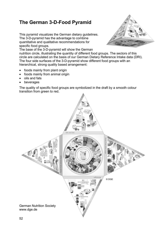# **The German 3-D-Food Pyramid**

This pyramid visualizes the German dietary guidelines. The 3-D-pyramid has the advantage to combine quantitative and qualitative recommendations for specific food groups.



The base of the 3-D-pyramid will show the German

nutrition circle, illustrating the quantity of different food groups. The sectors of this circle are calculated on the basis of our German Dietary Reference Intake data (DRI). The four side surfaces of the 3-D-pyramid show different food groups with an hierarchical, strong quality based arrangement:

- foods mainly from plant origin
- foods mainly from animal origin
- oils and fats
- **beverages**

The quality of specific food groups are symbolized in the draft by a smooth colour transition from green to red.